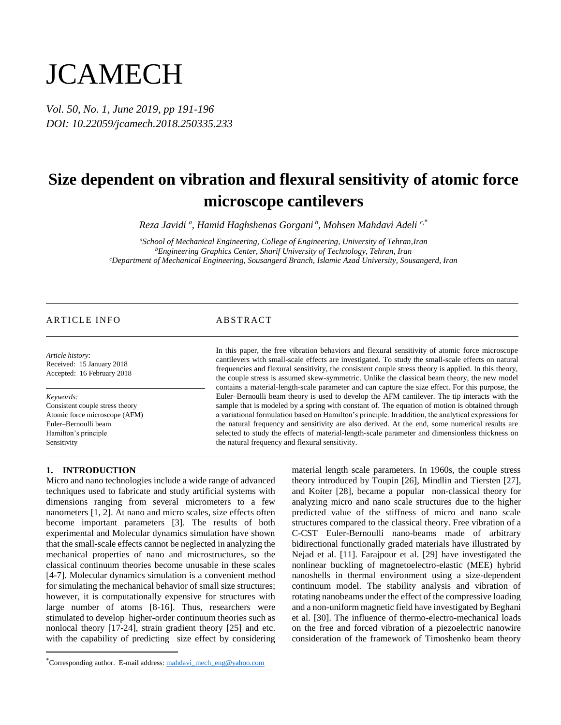# **JCAMECH**

*Vol. 50, No. 1, June 2019, pp 191-196 DOI: 10.22059/jcamech.2018.250335.233*

## **Size dependent on vibration and flexural sensitivity of atomic force microscope cantilevers**

*Reza Javidi <sup>a</sup> , Hamid Haghshenas Gorgani <sup>b</sup> , Mohsen Mahdavi Adeli c,*\*

*<sup>a</sup>School of Mechanical Engineering, College of Engineering, University of Tehran,Iran <sup>b</sup>Engineering Graphics Center, Sharif University of Technology, Tehran, Iran <sup>c</sup>Department of Mechanical Engineering, Sousangerd Branch, Islamic Azad University, Sousangerd, Iran*

### ARTICLE INFO ABSTRACT

*Article history:* Received: 15 January 2018 Accepted: 16 February 2018

*Keywords:*

 $\overline{a}$ 

Consistent couple stress theory Atomic force microscope (AFM) Euler–Bernoulli beam Hamilton's principle Sensitivity

In this paper, the free vibration behaviors and flexural sensitivity of atomic force microscope cantilevers with small-scale effects are investigated. To study the small-scale effects on natural frequencies and flexural sensitivity, the consistent couple stress theory is applied. In this theory, the couple stress is assumed skew-symmetric. Unlike the classical beam theory, the new model contains a material-length-scale parameter and can capture the size effect. For this purpose, the Euler–Bernoulli beam theory is used to develop the AFM cantilever. The tip interacts with the sample that is modeled by a spring with constant of. The equation of motion is obtained through a variational formulation based on Hamilton's principle. In addition, the analytical expressions for the natural frequency and sensitivity are also derived. At the end, some numerical results are selected to study the effects of material-length-scale parameter and dimensionless thickness on the natural frequency and flexural sensitivity.

#### **1. INTRODUCTION**

Micro and nano technologies include a wide range of advanced techniques used to fabricate and study artificial systems with dimensions ranging from several micrometers to a few nanometers [1, 2]. At nano and micro scales, size effects often become important parameters [3]. The results of both experimental and Molecular dynamics simulation have shown that the small-scale effects cannot be neglected in analyzing the mechanical properties of nano and microstructures, so the classical continuum theories become unusable in these scales [4-7]. Molecular dynamics simulation is a convenient method for simulating the mechanical behavior of small size structures; however, it is computationally expensive for structures with large number of atoms [8-16]. Thus, researchers were stimulated to develop higher-order continuum theories such as nonlocal theory [17-24], strain gradient theory [25] and etc. with the capability of predicting size effect by considering

material length scale parameters. In 1960s, the couple stress theory introduced by Toupin [26], Mindlin and Tiersten [27], and Koiter [28], became a popular non-classical theory for analyzing micro and nano scale structures due to the higher predicted value of the stiffness of micro and nano scale structures compared to the classical theory. Free vibration of a C-CST Euler-Bernoulli nano-beams made of arbitrary bidirectional functionally graded materials have illustrated by Nejad et al. [11]. Farajpour et al. [29] have investigated the nonlinear buckling of magnetoelectro-elastic (MEE) hybrid nanoshells in thermal environment using a size-dependent continuum model. The stability analysis and vibration of rotating nanobeams under the effect of the compressive loading and a non-uniform magnetic field have investigated by Beghani et al. [30]. The influence of thermo-electro-mechanical loads on the free and forced vibration of a piezoelectric nanowire consideration of the framework of Timoshenko beam theory

<sup>\*</sup>Corresponding author. E-mail address: mahdavi\_mech\_eng@yahoo.com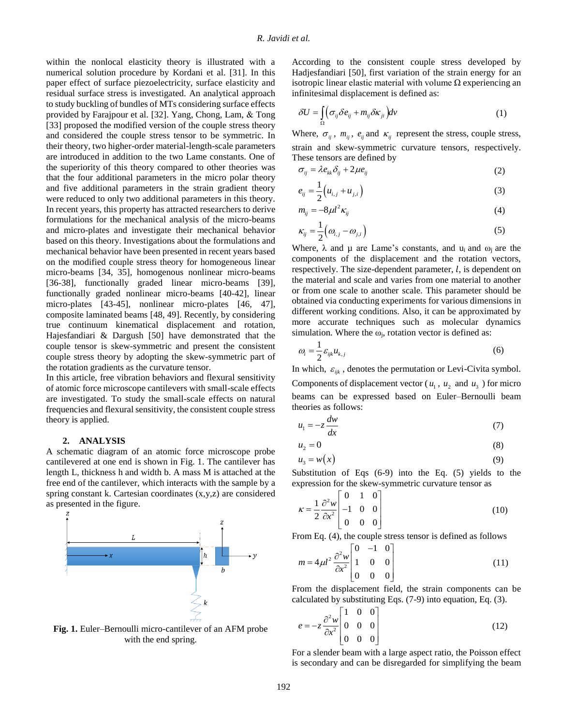within the nonlocal elasticity theory is illustrated with a numerical solution procedure by Kordani et al. [31]. In this paper effect of surface piezoelectricity, surface elasticity and residual surface stress is investigated. An analytical approach to study buckling of bundles of MTs considering surface effects provided by Farajpour et al. [32]. Yang, Chong, Lam, & Tong [33] proposed the modified version of the couple stress theory and considered the couple stress tensor to be symmetric. In their theory, two higher-order material-length-scale parameters are introduced in addition to the two Lame constants. One of the superiority of this theory compared to other theories was that the four additional parameters in the micro polar theory and five additional parameters in the strain gradient theory were reduced to only two additional parameters in this theory. In recent years, this property has attracted researchers to derive formulations for the mechanical analysis of the micro-beams and micro-plates and investigate their mechanical behavior based on this theory. Investigations about the formulations and mechanical behavior have been presented in recent years based on the modified couple stress theory for homogeneous linear micro-beams [34, 35], homogenous nonlinear micro-beams [36-38], functionally graded linear micro-beams [39], functionally graded nonlinear micro-beams [40-42], linear micro-plates [43-45], nonlinear micro-plates [46, 47], composite laminated beams [48, 49]. Recently, by considering true continuum kinematical displacement and rotation, Hajesfandiari & Dargush [50] have demonstrated that the couple tensor is skew-symmetric and present the consistent couple stress theory by adopting the skew-symmetric part of the rotation gradients as the curvature tensor.

In this article, free vibration behaviors and flexural sensitivity of atomic force microscope cantilevers with small-scale effects are investigated. To study the small-scale effects on natural frequencies and flexural sensitivity, the consistent couple stress theory is applied.

#### **2. ANALYSIS**

A schematic diagram of an atomic force microscope probe cantilevered at one end is shown in Fig. 1. The cantilever has length L, thickness h and width b. A mass M is attached at the free end of the cantilever, which interacts with the sample by a spring constant k. Cartesian coordinates (x,y,z) are considered as presented in the figure.



**Fig. 1.** Euler–Bernoulli micro-cantilever of an AFM probe with the end spring.

According to the consistent couple stress developed by Hadjesfandiari [50], first variation of the strain energy for an isotropic linear elastic material with volume Ω experiencing an infinitesimal displacement is defined as:

$$
\delta U = \int_{\Omega} \left( \sigma_{ij} \delta e_{ij} + m_{ij} \delta \kappa_{ji} \right) dv \tag{1}
$$

Where,  $\sigma_{ij}$ ,  $m_{ij}$ ,  $e_{ij}$  and  $\kappa_{ij}$  represent the stress, couple stress, strain and skew-symmetric curvature tensors, respectively. These tensors are defined by

$$
\sigma_{ij} = \lambda e_{kk} \delta_{ij} + 2\mu e_{ij} \tag{2}
$$

$$
e_{ij} = \frac{1}{2} \left( u_{i,j} + u_{j,i} \right)
$$
 (3)

$$
m_{ij} = -8\mu l^2 \kappa_{ij} \tag{4}
$$

$$
\kappa_{ij} = \frac{1}{2} \left( \omega_{i,j} - \omega_{j,i} \right) \tag{5}
$$

Where,  $\lambda$  and  $\mu$  are Lame's constants, and  $u_i$  and  $\omega_i$  are the components of the displacement and the rotation vectors, respectively. The size-dependent parameter,  $l$ , is dependent on the material and scale and varies from one material to another or from one scale to another scale. This parameter should be obtained via conducting experiments for various dimensions in different working conditions. Also, it can be approximated by more accurate techniques such as molecular dynamics simulation. Where the  $\omega_i$ , rotation vector is defined as:

$$
\omega_i = \frac{1}{2} \varepsilon_{ijk} u_{k,j} \tag{6}
$$

In which,  $\varepsilon_{ijk}$ , denotes the permutation or Levi-Civita symbol. Components of displacement vector ( $u_1$ ,  $u_2$  and  $u_3$ ) for micro beams can be expressed based on Euler–Bernoulli beam theories as follows:

$$
u_1 = -z \frac{dw}{dx} \tag{7}
$$

$$
u_2 = 0 \tag{8}
$$

$$
u_3 = w(x) \tag{9}
$$

Substitution of Eqs (6-9) into the Eq. (5) yields to the expression for the skew-symmetric curvature tensor as

$$
\kappa = \frac{1}{2} \frac{\partial^2 w}{\partial x^2} \begin{bmatrix} 0 & 1 & 0 \\ -1 & 0 & 0 \\ 0 & 0 & 0 \end{bmatrix}
$$
 (10)

From Eq. (4), the couple stress tensor is defined as follows  $\begin{bmatrix} 0 & -1 & 0 \end{bmatrix}$ 

$$
m = 4\mu l^2 \frac{\partial^2 w}{\partial x^2} \begin{bmatrix} 0 & -1 & 0 \\ 1 & 0 & 0 \\ 0 & 0 & 0 \end{bmatrix}
$$
 (11)

From the displacement field, the strain components can be calculated by substituting Eqs. (7-9) into equation, Eq. (3).

$$
e = -z \frac{\partial^2 w}{\partial x^2} \begin{bmatrix} 1 & 0 & 0 \\ 0 & 0 & 0 \\ 0 & 0 & 0 \end{bmatrix}
$$
 (12)

For a slender beam with a large aspect ratio, the Poisson effect is secondary and can be disregarded for simplifying the beam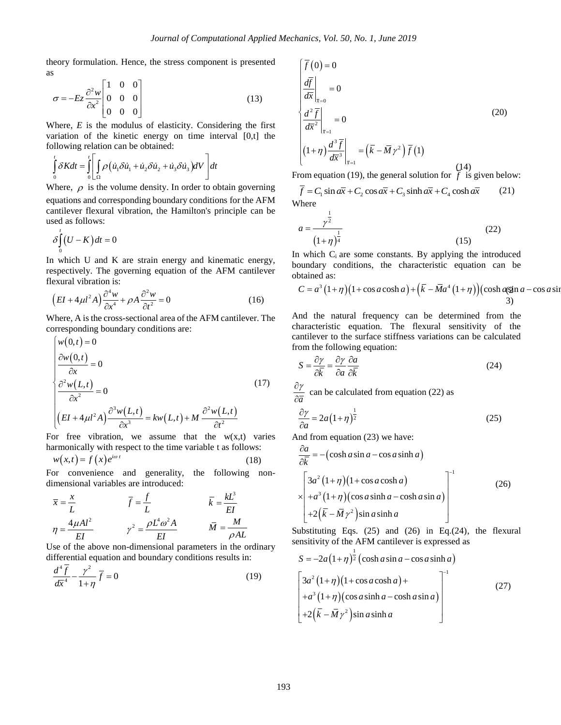theory formulation. Hence, the stress component is presented as

$$
\sigma = -Ez \frac{\partial^2 w}{\partial x^2} \begin{bmatrix} 1 & 0 & 0 \\ 0 & 0 & 0 \\ 0 & 0 & 0 \end{bmatrix}
$$
 (13)

Where, *E* is the modulus of elasticity. Considering the first variation of the kinetic energy on time interval [0,t] the

following relation can be obtained:  
\n
$$
\int_{0}^{t} \delta K dt = \int_{0}^{t} \left[ \int_{\Omega} \rho \left( \dot{u}_{1} \delta \dot{u}_{1} + \dot{u}_{2} \delta \dot{u}_{2} + \dot{u}_{3} \delta \dot{u}_{3} \right) dV \right] dt
$$

Where,  $\rho$  is the volume density. In order to obtain governing equations and corresponding boundary conditions for the AFM cantilever flexural vibration, the Hamilton's principle can be used as follows:

$$
\delta \int_{0}^{t} (U - K) dt = 0
$$

In which U and K are strain energy and kinematic energy, respectively. The governing equation of the AFM cantilever flexural vibration is:

$$
\left( EI + 4\mu l^2 A \right) \frac{\partial^4 w}{\partial x^4} + \rho A \frac{\partial^2 w}{\partial t^2} = 0 \tag{16}
$$

Where, A is the cross-sectional area of the AFM cantilever. The

corresponding boundary conditions are:  
\n
$$
\begin{cases}\nw(0,t) = 0 \\
\frac{\partial w(0,t)}{\partial x} = 0 \\
\frac{\partial^2 w(L,t)}{\partial x^2} = 0 \\
\left( EI + 4\mu l^2 A \right) \frac{\partial^3 w(L,t)}{\partial x^3} = kw(L,t) + M \frac{\partial^2 w(L,t)}{\partial t^2}\n\end{cases}
$$
\n(17)

For free vibration, we assume that the  $w(x,t)$  varies harmonically with respect to the time variable t as follows:

$$
w(x,t) = f(x)e^{i\omega t}
$$
 (18)

For convenience and generality, the following nondimensional variables are introduced:

$$
\overline{x} = \frac{x}{L} \qquad \qquad \overline{f} = \frac{f}{L} \qquad \qquad \overline{k} = \frac{kL^3}{EI}
$$
\n
$$
\eta = \frac{4\mu Al^2}{EI} \qquad \qquad \gamma^2 = \frac{\rho L^4 \omega^2 A}{EI} \qquad \qquad \overline{M} = \frac{M}{\rho AL}
$$

Use of the above non-dimensional parameters in the ordinary differential equation and boundary conditions results in:

$$
\frac{d^4\overline{f}}{d\overline{x}^4} - \frac{\gamma^2}{1+\eta}\overline{f} = 0\tag{19}
$$

$$
\begin{aligned}\n\left(\overline{f}(0) = 0\right) & \frac{d\overline{f}}{dx}\Big|_{\overline{x}=0} = 0\\
\left(\frac{d^2\overline{f}}{dx^2}\Big|_{\overline{x}=1} = 0\\
\left(1+\eta\right)\frac{d^3\overline{f}}{dx^3}\Big|_{\overline{x}=1} = \left(\overline{k} - \overline{M}\gamma^2\right)\overline{f}(1) \end{aligned} \tag{20}
$$

From equation (19), the general solution for 
$$
f
$$
 is given below:  
\n
$$
\overline{f} = C_1 \sin a\overline{x} + C_2 \cos a\overline{x} + C_3 \sinh a\overline{x} + C_4 \cosh a\overline{x}
$$
\n(21)  
\nWhere

$$
a = \frac{\gamma^{\frac{1}{2}}}{(1+\eta)^{\frac{1}{4}}} \tag{22}
$$

In which  $C_i$  are some constants. By applying the introduced boundary conditions, the characteristic equation can be obtained as:<br>  $C = a^3 (1+\eta)(1+\cos a \cosh a) + (\overline{k} - \overline{M}a^4 (1+\eta))(\cosh a \sin a - \cos a \sin a)$ obtained as:

$$
C = a^3 (1+\eta) (1+\cos a \cosh a) + (\overline{k} - \overline{M}a^4 (1+\eta)) (\cosh a \sin a - \cos a \sin a)
$$

And the natural frequency can be determined from the characteristic equation. The flexural sensitivity of the cantilever to the surface stiffness variations can be calculated from the following equation:

$$
S = \frac{\partial \gamma}{\partial \bar{k}} = \frac{\partial \gamma}{\partial a} \frac{\partial a}{\partial \bar{k}}
$$
 (24)

*a*  $\partial \gamma$  $\frac{\partial}{\partial \overline{a}}$  can be calculated from equation (22) as

$$
\frac{\partial \gamma}{\partial a} = 2a\left(1+\eta\right)^{\frac{1}{2}}\tag{25}
$$

And from equation (23) we have:

$$
\frac{\partial a}{\partial \overline{k}} = -(\cosh a \sin a - \cos a \sinh a)
$$
\n
$$
\times \begin{bmatrix} 3a^2 (1+\eta)(1+\cos a \cosh a) \\ +a^3 (1+\eta)(\cos a \sinh a - \cosh a \sin a) \\ +2(\overline{k} - \overline{M} \gamma^2) \sin a \sinh a \end{bmatrix}^{-1}
$$
\n(26)

Substituting Eqs.  $(25)$  and  $(26)$  in Eq. $(24)$ , the flexural sensitivity of the AFM cantilever is expressed as

$$
S = -2a(1+\eta)^{\frac{1}{2}}(\cosh a \sin a - \cos a \sinh a)
$$
  
\n
$$
\begin{bmatrix} 3a^2(1+\eta)(1+\cos a \cosh a) + \\ +a^3(1+\eta)(\cos a \sinh a - \cosh a \sin a) \\ +2(\overline{k} - \overline{M} \gamma^2)\sin a \sinh a \end{bmatrix}^{-1}
$$
 (27)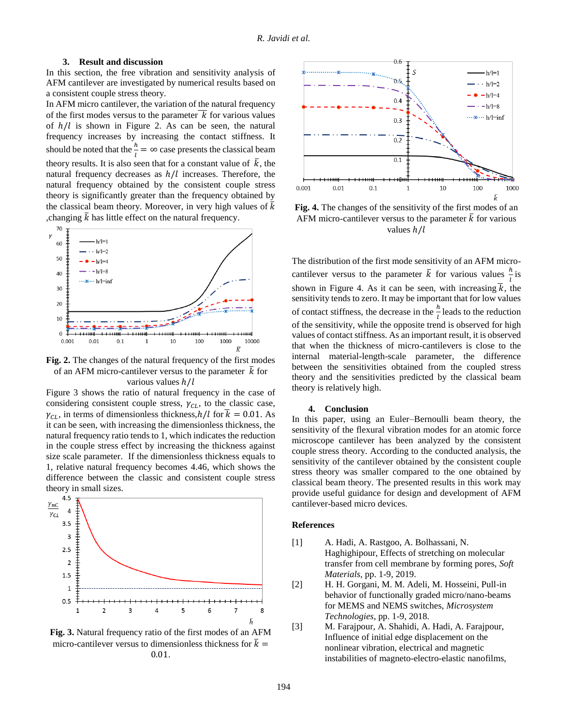#### **3. Result and discussion**

In this section, the free vibration and sensitivity analysis of AFM cantilever are investigated by numerical results based on a consistent couple stress theory.

In AFM micro cantilever, the variation of the natural frequency of the first modes versus to the parameter  $\overline{k}$  for various values of  $h/l$  is shown in Figure 2. As can be seen, the natural frequency increases by increasing the contact stiffness. It should be noted that the  $\frac{h}{l} = \infty$  case presents the classical beam theory results. It is also seen that for a constant value of  $\overline{k}$ , the natural frequency decreases as  $h/l$  increases. Therefore, the natural frequency obtained by the consistent couple stress theory is significantly greater than the frequency obtained by the classical beam theory. Moreover, in very high values of  $\bar{k}$ , changing  $\bar{k}$  has little effect on the natural frequency.



**Fig. 2.** The changes of the natural frequency of the first modes of an AFM micro-cantilever versus to the parameter  $\bar{k}$  for various values  $h/l$ 

Figure 3 shows the ratio of natural frequency in the case of considering consistent couple stress,  $\gamma_{CL}$ , to the classic case,  $\gamma_{CL}$ , in terms of dimensionless thickness, $h/l$  for  $\bar{k} = 0.01$ . As it can be seen, with increasing the dimensionless thickness, the natural frequency ratio tends to 1, which indicates the reduction in the couple stress effect by increasing the thickness against size scale parameter. If the dimensionless thickness equals to 1, relative natural frequency becomes 4.46, which shows the difference between the classic and consistent couple stress theory in small sizes.



**Fig. 3.** Natural frequency ratio of the first modes of an AFM micro-cantilever versus to dimensionless thickness for  $\bar{k} =$ 0.01.



**Fig. 4.** The changes of the sensitivity of the first modes of an AFM micro-cantilever versus to the parameter  $\overline{k}$  for various values  $h/l$ 

The distribution of the first mode sensitivity of an AFM microcantilever versus to the parameter  $\bar{k}$  for various values  $\frac{h}{l}$  is shown in Figure 4. As it can be seen, with increasing  $\bar{k}$ , the sensitivity tends to zero. It may be important that for low values of contact stiffness, the decrease in the  $\frac{h}{l}$  leads to the reduction of the sensitivity, while the opposite trend is observed for high values of contact stiffness. As an important result, it is observed that when the thickness of micro-cantilevers is close to the internal material-length-scale parameter, the difference between the sensitivities obtained from the coupled stress theory and the sensitivities predicted by the classical beam theory is relatively high.

#### **4. Conclusion**

In this paper, using an Euler–Bernoulli beam theory, the sensitivity of the flexural vibration modes for an atomic force microscope cantilever has been analyzed by the consistent couple stress theory. According to the conducted analysis, the sensitivity of the cantilever obtained by the consistent couple stress theory was smaller compared to the one obtained by classical beam theory. The presented results in this work may provide useful guidance for design and development of AFM cantilever-based micro devices.

#### **References**

- [1] A. Hadi, A. Rastgoo, A. Bolhassani, N. Haghighipour, Effects of stretching on molecular transfer from cell membrane by forming pores, *Soft Materials*, pp. 1-9, 2019.
- [2] H. H. Gorgani, M. M. Adeli, M. Hosseini, Pull-in behavior of functionally graded micro/nano-beams for MEMS and NEMS switches, *Microsystem Technologies*, pp. 1-9, 2018.
- [3] M. Farajpour, A. Shahidi, A. Hadi, A. Farajpour, Influence of initial edge displacement on the nonlinear vibration, electrical and magnetic instabilities of magneto-electro-elastic nanofilms,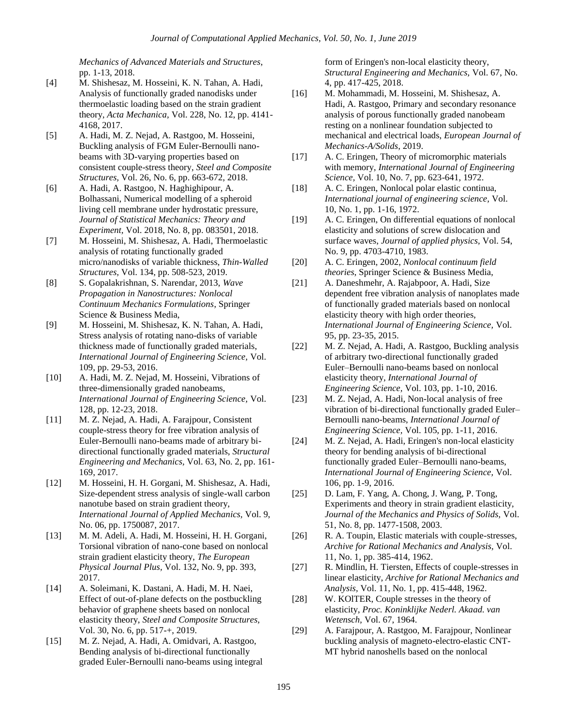*Mechanics of Advanced Materials and Structures*, pp. 1-13, 2018.

- [4] M. Shishesaz, M. Hosseini, K. N. Tahan, A. Hadi, Analysis of functionally graded nanodisks under thermoelastic loading based on the strain gradient theory, *Acta Mechanica,* Vol. 228, No. 12, pp. 4141- 4168, 2017.
- [5] A. Hadi, M. Z. Nejad, A. Rastgoo, M. Hosseini, Buckling analysis of FGM Euler-Bernoulli nanobeams with 3D-varying properties based on consistent couple-stress theory, *Steel and Composite Structures,* Vol. 26, No. 6, pp. 663-672, 2018.
- [6] A. Hadi, A. Rastgoo, N. Haghighipour, A. Bolhassani, Numerical modelling of a spheroid living cell membrane under hydrostatic pressure, *Journal of Statistical Mechanics: Theory and Experiment,* Vol. 2018, No. 8, pp. 083501, 2018.
- [7] M. Hosseini, M. Shishesaz, A. Hadi, Thermoelastic analysis of rotating functionally graded micro/nanodisks of variable thickness, *Thin-Walled Structures,* Vol. 134, pp. 508-523, 2019.
- [8] S. Gopalakrishnan, S. Narendar, 2013, *Wave Propagation in Nanostructures: Nonlocal Continuum Mechanics Formulations*, Springer Science & Business Media,
- [9] M. Hosseini, M. Shishesaz, K. N. Tahan, A. Hadi, Stress analysis of rotating nano-disks of variable thickness made of functionally graded materials, *International Journal of Engineering Science,* Vol. 109, pp. 29-53, 2016.
- [10] A. Hadi, M. Z. Nejad, M. Hosseini, Vibrations of three-dimensionally graded nanobeams, *International Journal of Engineering Science,* Vol. 128, pp. 12-23, 2018.
- [11] M. Z. Nejad, A. Hadi, A. Farajpour, Consistent couple-stress theory for free vibration analysis of Euler-Bernoulli nano-beams made of arbitrary bidirectional functionally graded materials, *Structural Engineering and Mechanics,* Vol. 63, No. 2, pp. 161- 169, 2017.
- [12] M. Hosseini, H. H. Gorgani, M. Shishesaz, A. Hadi, Size-dependent stress analysis of single-wall carbon nanotube based on strain gradient theory, *International Journal of Applied Mechanics,* Vol. 9, No. 06, pp. 1750087, 2017.
- [13] M. M. Adeli, A. Hadi, M. Hosseini, H. H. Gorgani, Torsional vibration of nano-cone based on nonlocal strain gradient elasticity theory, *The European Physical Journal Plus,* Vol. 132, No. 9, pp. 393, 2017.
- [14] A. Soleimani, K. Dastani, A. Hadi, M. H. Naei, Effect of out-of-plane defects on the postbuckling behavior of graphene sheets based on nonlocal elasticity theory, *Steel and Composite Structures,* Vol. 30, No. 6, pp. 517-+, 2019.
- [15] M. Z. Nejad, A. Hadi, A. Omidvari, A. Rastgoo, Bending analysis of bi-directional functionally graded Euler-Bernoulli nano-beams using integral

form of Eringen's non-local elasticity theory, *Structural Engineering and Mechanics,* Vol. 67, No. 4, pp. 417-425, 2018.

- [16] M. Mohammadi, M. Hosseini, M. Shishesaz, A. Hadi, A. Rastgoo, Primary and secondary resonance analysis of porous functionally graded nanobeam resting on a nonlinear foundation subjected to mechanical and electrical loads, *European Journal of Mechanics-A/Solids*, 2019.
- [17] A. C. Eringen, Theory of micromorphic materials with memory, *International Journal of Engineering Science,* Vol. 10, No. 7, pp. 623-641, 1972.
- [18] A. C. Eringen, Nonlocal polar elastic continua, *International journal of engineering science,* Vol. 10, No. 1, pp. 1-16, 1972.
- [19] A. C. Eringen, On differential equations of nonlocal elasticity and solutions of screw dislocation and surface waves, *Journal of applied physics,* Vol. 54, No. 9, pp. 4703-4710, 1983.
- [20] A. C. Eringen, 2002, *Nonlocal continuum field theories*, Springer Science & Business Media,
- [21] A. Daneshmehr, A. Rajabpoor, A. Hadi, Size dependent free vibration analysis of nanoplates made of functionally graded materials based on nonlocal elasticity theory with high order theories, *International Journal of Engineering Science,* Vol. 95, pp. 23-35, 2015.
- [22] M. Z. Nejad, A. Hadi, A. Rastgoo, Buckling analysis of arbitrary two-directional functionally graded Euler–Bernoulli nano-beams based on nonlocal elasticity theory, *International Journal of Engineering Science,* Vol. 103, pp. 1-10, 2016.
- [23] M. Z. Nejad, A. Hadi, Non-local analysis of free vibration of bi-directional functionally graded Euler– Bernoulli nano-beams, *International Journal of Engineering Science,* Vol. 105, pp. 1-11, 2016.
- [24] M. Z. Nejad, A. Hadi, Eringen's non-local elasticity theory for bending analysis of bi-directional functionally graded Euler–Bernoulli nano-beams, *International Journal of Engineering Science,* Vol. 106, pp. 1-9, 2016.
- [25] D. Lam, F. Yang, A. Chong, J. Wang, P. Tong, Experiments and theory in strain gradient elasticity, *Journal of the Mechanics and Physics of Solids,* Vol. 51, No. 8, pp. 1477-1508, 2003.
- [26] R. A. Toupin, Elastic materials with couple-stresses, *Archive for Rational Mechanics and Analysis,* Vol. 11, No. 1, pp. 385-414, 1962.
- [27] R. Mindlin, H. Tiersten, Effects of couple-stresses in linear elasticity, *Archive for Rational Mechanics and Analysis,* Vol. 11, No. 1, pp. 415-448, 1962.
- [28] W. KOlTER, Couple stresses in the theory of elasticity, *Proc. Koninklijke Nederl. Akaad. van Wetensch,* Vol. 67, 1964.
- [29] A. Farajpour, A. Rastgoo, M. Farajpour, Nonlinear buckling analysis of magneto-electro-elastic CNT-MT hybrid nanoshells based on the nonlocal